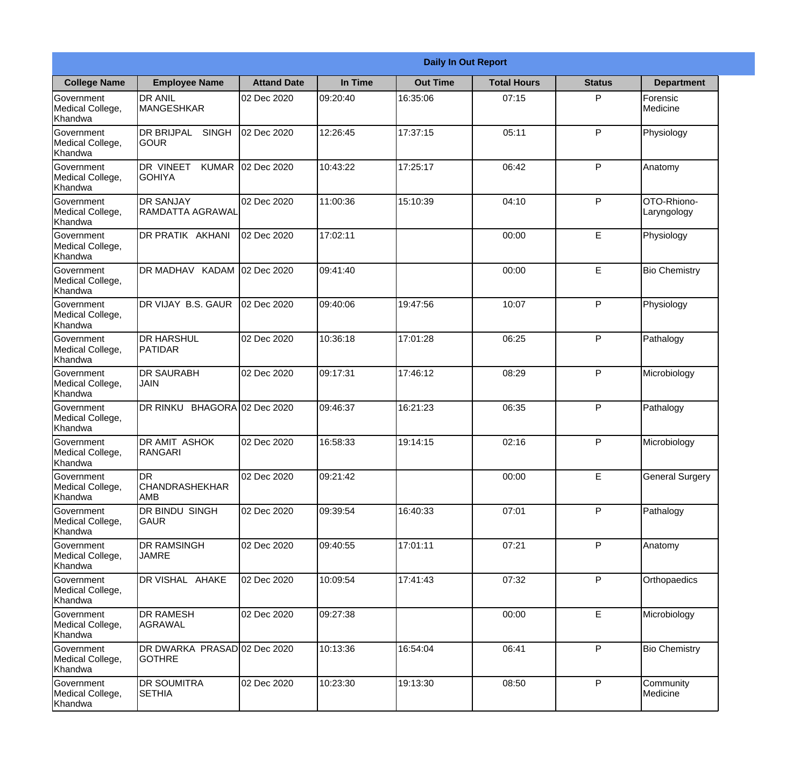|                                           | <b>Daily In Out Report</b>                       |                     |          |                 |                    |               |                            |  |
|-------------------------------------------|--------------------------------------------------|---------------------|----------|-----------------|--------------------|---------------|----------------------------|--|
| <b>College Name</b>                       | <b>Employee Name</b>                             | <b>Attand Date</b>  | In Time  | <b>Out Time</b> | <b>Total Hours</b> | <b>Status</b> | <b>Department</b>          |  |
| Government<br>Medical College,<br>Khandwa | <b>DR ANIL</b><br><b>MANGESHKAR</b>              | 02 Dec 2020         | 09:20:40 | 16:35:06        | 07:15              | P             | Forensic<br>Medicine       |  |
| Government<br>Medical College,<br>Khandwa | DR BRIJPAL<br><b>SINGH</b><br><b>GOUR</b>        | 02 Dec 2020         | 12:26:45 | 17:37:15        | 05:11              | P             | Physiology                 |  |
| Government<br>Medical College,<br>Khandwa | DR VINEET<br><b>KUMAR</b><br><b>GOHIYA</b>       | 02 Dec 2020         | 10:43:22 | 17:25:17        | 06:42              | P             | Anatomy                    |  |
| Government<br>Medical College,<br>Khandwa | <b>DR SANJAY</b><br>RAMDATTA AGRAWAL             | 02 Dec 2020         | 11:00:36 | 15:10:39        | 04:10              | P             | OTO-Rhiono-<br>Laryngology |  |
| Government<br>Medical College,<br>Khandwa | DR PRATIK AKHANI                                 | 02 Dec 2020         | 17:02:11 |                 | 00:00              | E             | Physiology                 |  |
| Government<br>Medical College,<br>Khandwa | DR MADHAV KADAM                                  | 02 Dec 2020         | 09:41:40 |                 | 00:00              | E             | <b>Bio Chemistry</b>       |  |
| Government<br>Medical College,<br>Khandwa | DR VIJAY B.S. GAUR                               | 02 Dec 2020         | 09:40:06 | 19:47:56        | 10:07              | P             | Physiology                 |  |
| Government<br>Medical College,<br>Khandwa | <b>DR HARSHUL</b><br><b>PATIDAR</b>              | 02 Dec 2020         | 10:36:18 | 17:01:28        | 06:25              | P             | Pathalogy                  |  |
| Government<br>Medical College,<br>Khandwa | <b>DR SAURABH</b><br><b>JAIN</b>                 | 02 Dec 2020         | 09:17:31 | 17:46:12        | 08:29              | P             | Microbiology               |  |
| Government<br>Medical College,<br>Khandwa | DR RINKU                                         | BHAGORA 02 Dec 2020 | 09:46:37 | 16:21:23        | 06:35              | P             | Pathalogy                  |  |
| Government<br>Medical College,<br>Khandwa | <b>DR AMIT ASHOK</b><br>RANGARI                  | 02 Dec 2020         | 16:58:33 | 19:14:15        | 02:16              | $\mathsf{P}$  | Microbiology               |  |
| Government<br>Medical College,<br>Khandwa | <b>DR</b><br><b>CHANDRASHEKHAR</b><br><b>AMB</b> | 02 Dec 2020         | 09:21:42 |                 | 00:00              | E             | <b>General Surgery</b>     |  |
| Government<br>Medical College,<br>Khandwa | DR BINDU SINGH<br>GAUR                           | 02 Dec 2020         | 09:39:54 | 16:40:33        | 07:01              | P             | Pathalogy                  |  |
| Government<br>Medical College,<br>Khandwa | DR RAMSINGH<br><b>JAMRE</b>                      | 02 Dec 2020         | 09:40:55 | 17:01:11        | 07:21              | $\mathsf{P}$  | Anatomy                    |  |
| Government<br>Medical College,<br>Khandwa | DR VISHAL AHAKE                                  | 02 Dec 2020         | 10:09:54 | 17:41:43        | 07:32              | $\mathsf{P}$  | Orthopaedics               |  |
| Government<br>Medical College,<br>Khandwa | <b>DR RAMESH</b><br>AGRAWAL                      | 02 Dec 2020         | 09:27:38 |                 | 00:00              | E             | Microbiology               |  |
| Government<br>Medical College,<br>Khandwa | DR DWARKA PRASAD 02 Dec 2020<br><b>GOTHRE</b>    |                     | 10:13:36 | 16:54:04        | 06:41              | P             | <b>Bio Chemistry</b>       |  |
| Government<br>Medical College,<br>Khandwa | DR SOUMITRA<br><b>SETHIA</b>                     | 02 Dec 2020         | 10:23:30 | 19:13:30        | 08:50              | $\mathsf{P}$  | Community<br>Medicine      |  |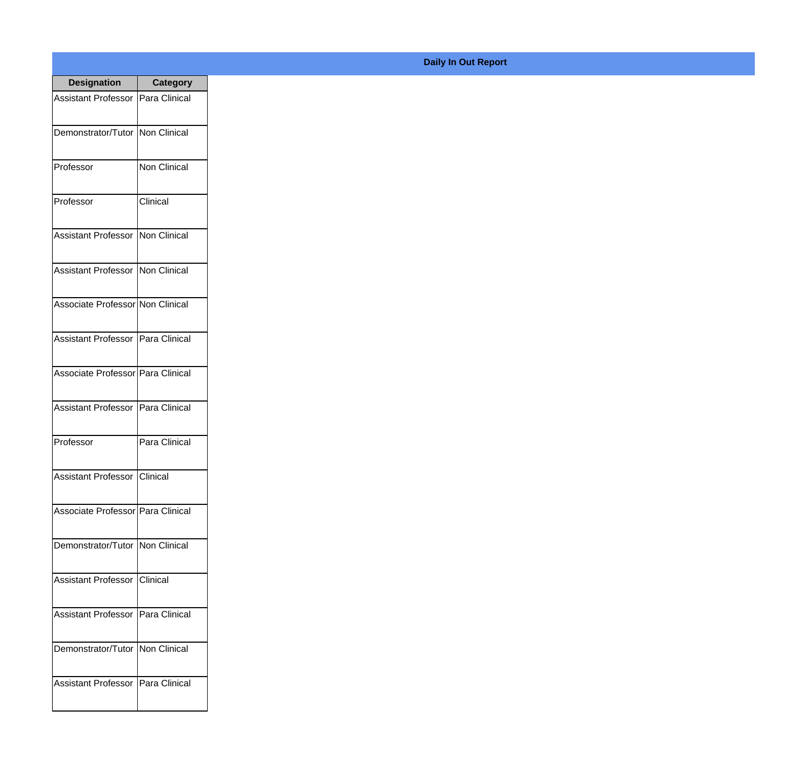| <b>Designation</b>                  | Category             |
|-------------------------------------|----------------------|
| Assistant Professor   Para Clinical |                      |
| Demonstrator/Tutor   Non Clinical   |                      |
| Professor                           | <b>Non Clinical</b>  |
| Professor                           | Clinical             |
| <b>Assistant Professor</b>          | <b>Non Clinical</b>  |
| <b>Assistant Professor</b>          | <b>INon Clinical</b> |
| Associate Professor Non Clinical    |                      |
| Assistant Professor   Para Clinical |                      |
| Associate Professor   Para Clinical |                      |
| <b>Assistant Professor</b>          | Para Clinical        |
| Professor                           | Para Clinical        |
| Assistant Professor   Clinical      |                      |
| Associate Professor Para Clinical   |                      |
| Demonstrator/Tutor   Non Clinical   |                      |
| <b>Assistant Professor</b>          | Clinical             |
| <b>Assistant Professor</b>          | Para Clinical        |
| Demonstrator/Tutor   Non Clinical   |                      |
| Assistant Professor   Para Clinical |                      |

## **Daily In Out Report**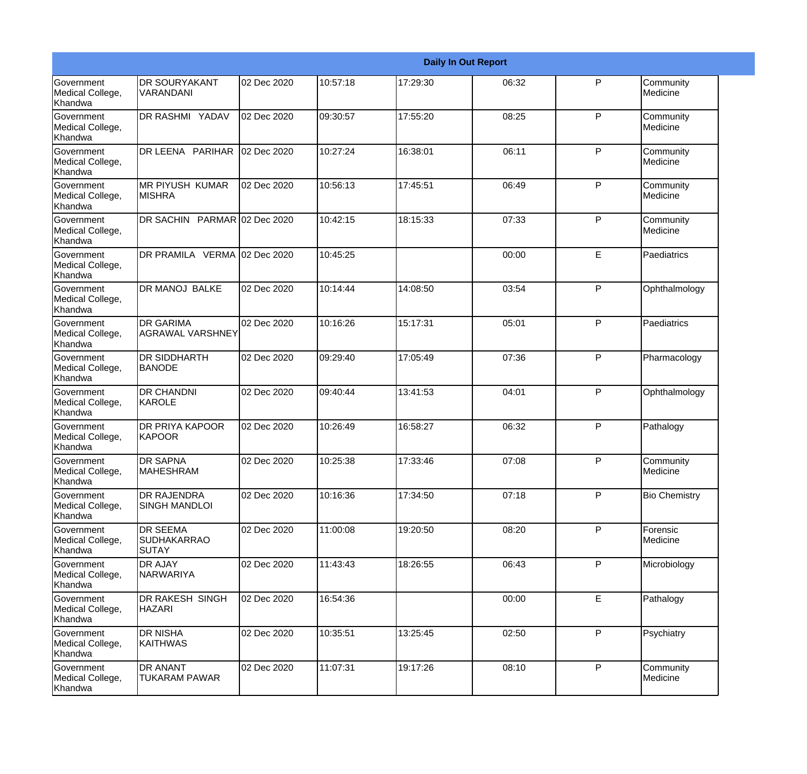|                                                  | <b>Daily In Out Report</b>                            |             |           |          |       |              |                       |  |
|--------------------------------------------------|-------------------------------------------------------|-------------|-----------|----------|-------|--------------|-----------------------|--|
| Government<br>Medical College,<br>Khandwa        | <b>DR SOURYAKANT</b><br>VARANDANI                     | 02 Dec 2020 | 10:57:18  | 17:29:30 | 06:32 | P            | Community<br>Medicine |  |
| <b>Government</b><br>Medical College,<br>Khandwa | <b>DR RASHMI YADAV</b>                                | 02 Dec 2020 | 09:30:57  | 17:55:20 | 08:25 | P            | Community<br>Medicine |  |
| <b>Government</b><br>Medical College,<br>Khandwa | DR LEENA PARIHAR                                      | 02 Dec 2020 | 10:27:24  | 16:38:01 | 06:11 | P            | Community<br>Medicine |  |
| <b>Government</b><br>Medical College,<br>Khandwa | Imr piyush kumar<br><b>MISHRA</b>                     | 02 Dec 2020 | 10:56:13  | 17:45:51 | 06:49 | P            | Community<br>Medicine |  |
| Government<br>Medical College,<br>Khandwa        | DR SACHIN PARMAR 02 Dec 2020                          |             | 10:42:15  | 18:15:33 | 07:33 | P            | Community<br>Medicine |  |
| Government<br>Medical College,<br>Khandwa        | DR PRAMILA VERMA 02 Dec 2020                          |             | 10:45:25  |          | 00:00 | E            | Paediatrics           |  |
| Government<br>Medical College,<br>Khandwa        | <b>DR MANOJ BALKE</b>                                 | 02 Dec 2020 | 10:14:44  | 14:08:50 | 03:54 | P            | Ophthalmology         |  |
| Government<br>Medical College,<br>Khandwa        | <b>DR GARIMA</b><br><b>AGRAWAL VARSHNEY</b>           | 02 Dec 2020 | 10:16:26  | 15:17:31 | 05:01 | $\mathsf{P}$ | Paediatrics           |  |
| Government<br>Medical College,<br>Khandwa        | DR SIDDHARTH<br><b>BANODE</b>                         | 02 Dec 2020 | 09:29:40  | 17:05:49 | 07:36 | P            | Pharmacology          |  |
| <b>Government</b><br>Medical College,<br>Khandwa | <b>DR CHANDNI</b><br>KAROLE                           | 02 Dec 2020 | 109:40:44 | 13:41:53 | 04:01 | $\mathsf{P}$ | Ophthalmology         |  |
| <b>Government</b><br>Medical College,<br>Khandwa | <b>DR PRIYA KAPOOR</b><br>KAPOOR                      | 02 Dec 2020 | 10:26:49  | 16:58:27 | 06:32 | P            | Pathalogy             |  |
| Government<br>Medical College,<br>Khandwa        | <b>DR SAPNA</b><br><b>MAHESHRAM</b>                   | 02 Dec 2020 | 10:25:38  | 17:33:46 | 07:08 | P            | Community<br>Medicine |  |
| Government<br>Medical College,<br>Khandwa        | DR RAJENDRA<br><b>SINGH MANDLOI</b>                   | 02 Dec 2020 | 10:16:36  | 17:34:50 | 07:18 | P            | <b>Bio Chemistry</b>  |  |
| Government<br>Medical College,<br>Khandwa        | <b>DR SEEMA</b><br><b>SUDHAKARRAO</b><br><b>SUTAY</b> | 02 Dec 2020 | 11:00:08  | 19:20:50 | 08:20 | P            | Forensic<br>Medicine  |  |
| Government<br>Medical College,<br>Khandwa        | <b>DR AJAY</b><br>NARWARIYA                           | 02 Dec 2020 | 11:43:43  | 18:26:55 | 06:43 | P            | Microbiology          |  |
| Government<br>Medical College,<br>Khandwa        | DR RAKESH SINGH<br><b>HAZARI</b>                      | 02 Dec 2020 | 16:54:36  |          | 00:00 | E            | Pathalogy             |  |
| Government<br>Medical College,<br>Khandwa        | DR NISHA<br><b>KAITHWAS</b>                           | 02 Dec 2020 | 10:35:51  | 13:25:45 | 02:50 | P            | Psychiatry            |  |
| Government<br>Medical College,<br>Khandwa        | DR ANANT<br>TUKARAM PAWAR                             | 02 Dec 2020 | 11:07:31  | 19:17:26 | 08:10 | P            | Community<br>Medicine |  |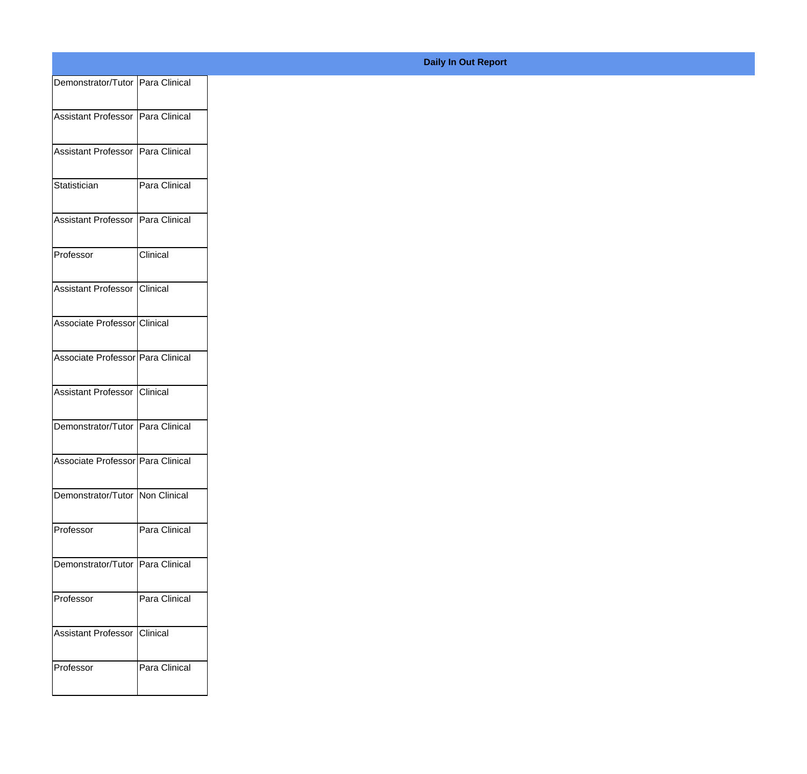| Demonstrator/Tutor Para Clinical  |               |
|-----------------------------------|---------------|
| Assistant Professor Para Clinical |               |
|                                   |               |
| Assistant Professor Para Clinical |               |
| Statistician                      | Para Clinical |
|                                   |               |
| Assistant Professor Para Clinical |               |
| Professor                         | Clinical      |
| Assistant Professor Clinical      |               |
|                                   |               |
| Associate Professor Clinical      |               |
| Associate Professor Para Clinical |               |
|                                   |               |
| Assistant Professor Clinical      |               |
| Demonstrator/Tutor Para Clinical  |               |
| Associate Professor Para Clinical |               |
|                                   |               |
| Demonstrator/Tutor Non Clinical   |               |
| Professor                         | Para Clinical |
| Demonstrator/Tutor Para Clinical  |               |
|                                   |               |
| Professor                         | Para Clinical |
| Assistant Professor Clinical      |               |
|                                   |               |
| Professor                         | Para Clinical |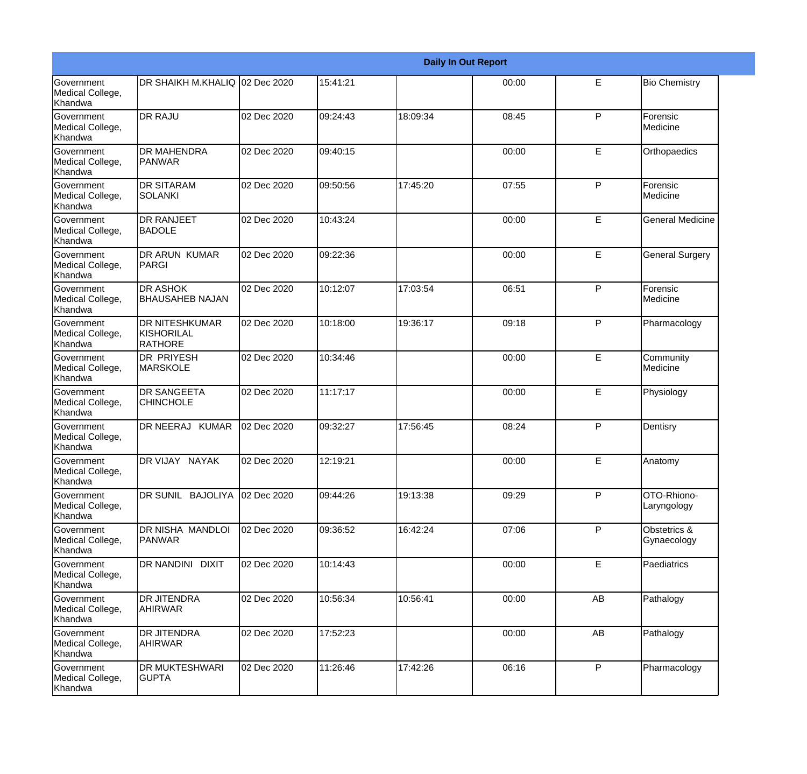|                                                  | <b>Daily In Out Report</b>                            |             |          |          |       |              |                             |  |
|--------------------------------------------------|-------------------------------------------------------|-------------|----------|----------|-------|--------------|-----------------------------|--|
| <b>Government</b><br>Medical College,<br>Khandwa | DR SHAIKH M.KHALIQ 02 Dec 2020                        |             | 15:41:21 |          | 00:00 | E            | <b>Bio Chemistry</b>        |  |
| <b>Government</b><br>Medical College,<br>Khandwa | <b>DR RAJU</b>                                        | 02 Dec 2020 | 09:24:43 | 18:09:34 | 08:45 | $\mathsf{P}$ | Forensic<br>Medicine        |  |
| <b>Government</b><br>Medical College,<br>Khandwa | <b>DR MAHENDRA</b><br><b>IPANWAR</b>                  | 02 Dec 2020 | 09:40:15 |          | 00:00 | E            | Orthopaedics                |  |
| <b>Government</b><br>Medical College,<br>Khandwa | <b>DR SITARAM</b><br><b>SOLANKI</b>                   | 02 Dec 2020 | 09:50:56 | 17:45:20 | 07:55 | P            | Forensic<br>Medicine        |  |
| <b>Government</b><br>Medical College,<br>Khandwa | <b>DR RANJEET</b><br><b>BADOLE</b>                    | 02 Dec 2020 | 10:43:24 |          | 00:00 | E            | <b>General Medicine</b>     |  |
| <b>Government</b><br>Medical College,<br>Khandwa | DR ARUN KUMAR<br>PARGI                                | 02 Dec 2020 | 09:22:36 |          | 00:00 | E            | <b>General Surgery</b>      |  |
| Government<br>Medical College,<br>Khandwa        | <b>DR ASHOK</b><br><b>I</b> BHAUSAHEB NAJAN           | 02 Dec 2020 | 10:12:07 | 17:03:54 | 06:51 | P            | Forensic<br>Medicine        |  |
| Government<br>Medical College,<br>Khandwa        | <b>DR NITESHKUMAR</b><br>KISHORILAL<br><b>RATHORE</b> | 02 Dec 2020 | 10:18:00 | 19:36:17 | 09:18 | P            | Pharmacology                |  |
| Government<br>Medical College,<br>Khandwa        | <b>DR PRIYESH</b><br><b>MARSKOLE</b>                  | 02 Dec 2020 | 10:34:46 |          | 00:00 | E            | Community<br>Medicine       |  |
| <b>Government</b><br>Medical College,<br>Khandwa | <b>DR SANGEETA</b><br><b>CHINCHOLE</b>                | 02 Dec 2020 | 11:17:17 |          | 00:00 | E            | Physiology                  |  |
| <b>Government</b><br>Medical College,<br>Khandwa | DR NEERAJ KUMAR                                       | 02 Dec 2020 | 09:32:27 | 17:56:45 | 08:24 | P            | Dentisry                    |  |
| Government<br>Medical College,<br>Khandwa        | <b>DR VIJAY NAYAK</b>                                 | 02 Dec 2020 | 12:19:21 |          | 00:00 | E            | Anatomy                     |  |
| Government<br>Medical College,<br>Khandwa        | DR SUNIL BAJOLIYA                                     | 02 Dec 2020 | 09:44:26 | 19:13:38 | 09:29 | P            | OTO-Rhiono-<br>Laryngology  |  |
| Government<br>Medical College,<br>Khandwa        | DR NISHA MANDLOI<br><b>PANWAR</b>                     | 02 Dec 2020 | 09:36:52 | 16:42:24 | 07:06 | $\mathsf{P}$ | Obstetrics &<br>Gynaecology |  |
| Government<br>Medical College,<br>Khandwa        | DR NANDINI DIXIT                                      | 02 Dec 2020 | 10:14:43 |          | 00:00 | E            | Paediatrics                 |  |
| Government<br>Medical College,<br>Khandwa        | <b>DR JITENDRA</b><br><b>AHIRWAR</b>                  | 02 Dec 2020 | 10:56:34 | 10:56:41 | 00:00 | AB           | Pathalogy                   |  |
| Government<br>Medical College,<br>Khandwa        | <b>DR JITENDRA</b><br>AHIRWAR                         | 02 Dec 2020 | 17:52:23 |          | 00:00 | AB           | Pathalogy                   |  |
| Government<br>Medical College,<br>Khandwa        | <b>DR MUKTESHWARI</b><br><b>GUPTA</b>                 | 02 Dec 2020 | 11:26:46 | 17:42:26 | 06:16 | $\mathsf{P}$ | Pharmacology                |  |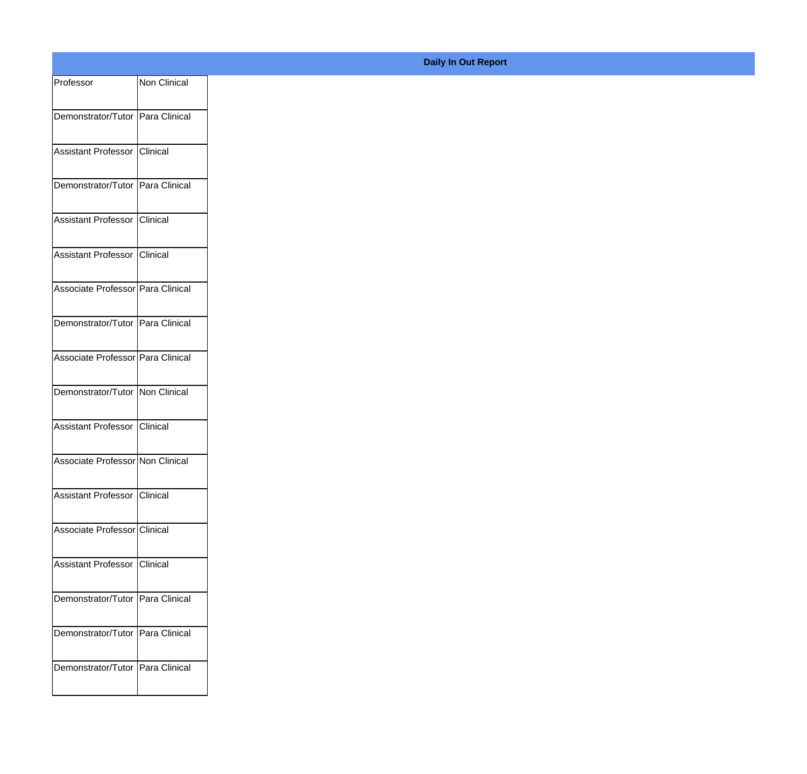| Professor                          | Non Clinical |
|------------------------------------|--------------|
| Demonstrator/Tutor Para Clinical   |              |
|                                    |              |
| Assistant Professor Clinical       |              |
| Demonstrator/Tutor Para Clinical   |              |
| Assistant Professor Clinical       |              |
| Assistant Professor Clinical       |              |
| Associate Professor Para Clinical  |              |
| Demonstrator/Tutor Para Clinical   |              |
| Associate Professor Para Clinical  |              |
| Demonstrator/Tutor Non Clinical    |              |
| Assistant Professor Clinical       |              |
| Associate Professor Non Clinical   |              |
| Assistant Professor Clinical       |              |
| Associate Professor Clinical       |              |
| Assistant Professor Clinical       |              |
| Demonstrator/Tutor Para Clinical   |              |
| Demonstrator/Tutor   Para Clinical |              |
| Demonstrator/Tutor Para Clinical   |              |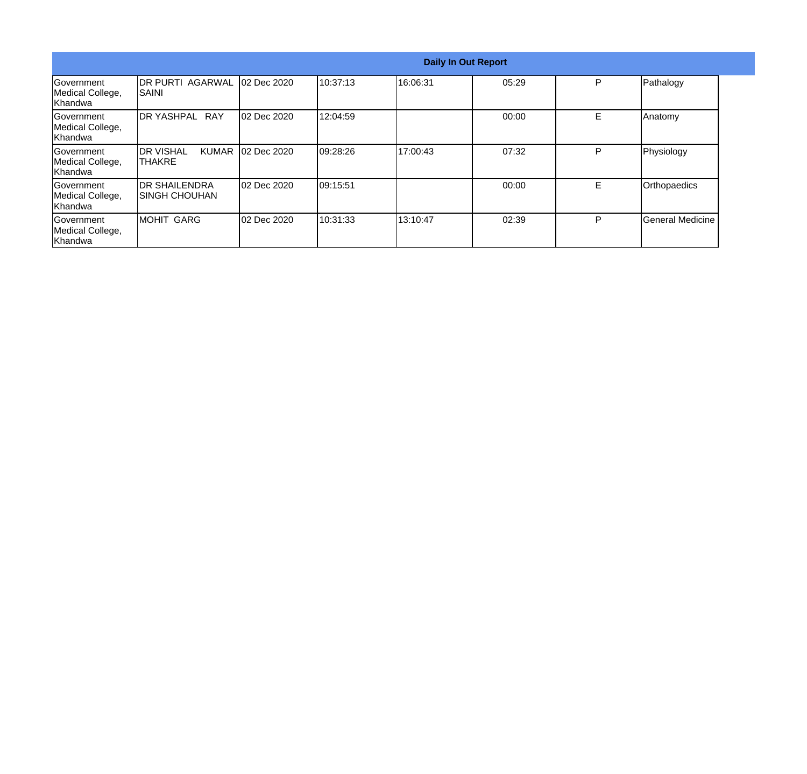|                                                  | <b>Daily In Out Report</b>                           |             |           |          |       |   |                         |  |
|--------------------------------------------------|------------------------------------------------------|-------------|-----------|----------|-------|---|-------------------------|--|
| <b>Government</b><br>Medical College,<br>Khandwa | <b>DR PURTI AGARWAL</b><br>ISAINI                    | 02 Dec 2020 | 10:37:13  | 16:06:31 | 05:29 | P | Pathalogy               |  |
| Government<br>Medical College,<br>Khandwa        | <b>DR YASHPAL RAY</b>                                | 02 Dec 2020 | 12:04:59  |          | 00:00 | Е | Anatomy                 |  |
| <b>Sovernment</b><br>Medical College,<br>Khandwa | <b>I</b> DR VISHAL<br><b>KUMAR</b><br><b>ITHAKRE</b> | 02 Dec 2020 | 109:28:26 | 17:00:43 | 07:32 | P | Physiology              |  |
| lGovernment<br>Medical College,<br>Khandwa       | <b>DR SHAILENDRA</b><br>ISINGH CHOUHAN               | 02 Dec 2020 | 09:15:51  |          | 00:00 | E | Orthopaedics            |  |
| Government<br>Medical College,<br>Khandwa        | <b>MOHIT GARG</b>                                    | 02 Dec 2020 | 10:31:33  | 13:10:47 | 02:39 | P | <b>General Medicine</b> |  |